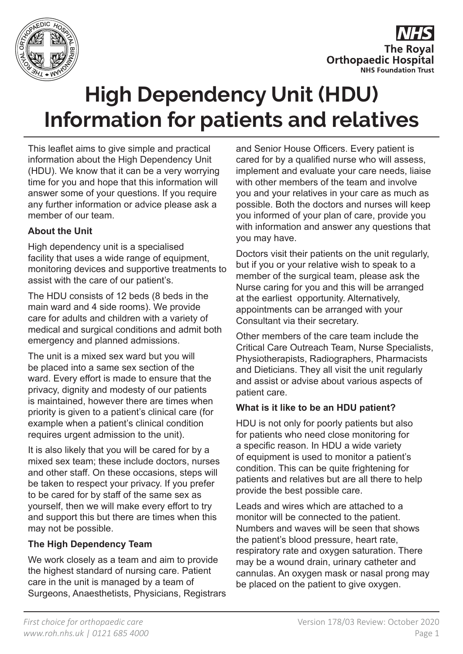

**The Roval Orthopaedic Hospital NHS Foundation Trust** 

# **High Dependency Unit (HDU) Information for patients and relatives**

This leaflet aims to give simple and practical information about the High Dependency Unit (HDU). We know that it can be a very worrying time for you and hope that this information will answer some of your questions. If you require any further information or advice please ask a member of our team.

## **About the Unit**

High dependency unit is a specialised facility that uses a wide range of equipment, monitoring devices and supportive treatments to assist with the care of our patient's.

The HDU consists of 12 beds (8 beds in the main ward and 4 side rooms). We provide care for adults and children with a variety of medical and surgical conditions and admit both emergency and planned admissions.

The unit is a mixed sex ward but you will be placed into a same sex section of the ward. Every effort is made to ensure that the privacy, dignity and modesty of our patients is maintained, however there are times when priority is given to a patient's clinical care (for example when a patient's clinical condition requires urgent admission to the unit).

It is also likely that you will be cared for by a mixed sex team; these include doctors, nurses and other staff. On these occasions, steps will be taken to respect your privacy. If you prefer to be cared for by staff of the same sex as yourself, then we will make every effort to try and support this but there are times when this may not be possible.

## **The High Dependency Team**

We work closely as a team and aim to provide the highest standard of nursing care. Patient care in the unit is managed by a team of Surgeons, Anaesthetists, Physicians, Registrars and Senior House Officers. Every patient is cared for by a qualified nurse who will assess, implement and evaluate your care needs, liaise with other members of the team and involve you and your relatives in your care as much as possible. Both the doctors and nurses will keep you informed of your plan of care, provide you with information and answer any questions that you may have.

Doctors visit their patients on the unit regularly, but if you or your relative wish to speak to a member of the surgical team, please ask the Nurse caring for you and this will be arranged at the earliest opportunity. Alternatively, appointments can be arranged with your Consultant via their secretary.

Other members of the care team include the Critical Care Outreach Team, Nurse Specialists, Physiotherapists, Radiographers, Pharmacists and Dieticians. They all visit the unit regularly and assist or advise about various aspects of patient care.

## **What is it like to be an HDU patient?**

HDU is not only for poorly patients but also for patients who need close monitoring for a specific reason. In HDU a wide variety of equipment is used to monitor a patient's condition. This can be quite frightening for patients and relatives but are all there to help provide the best possible care.

Leads and wires which are attached to a monitor will be connected to the patient. Numbers and waves will be seen that shows the patient's blood pressure, heart rate, respiratory rate and oxygen saturation. There may be a wound drain, urinary catheter and cannulas. An oxygen mask or nasal prong may be placed on the patient to give oxygen.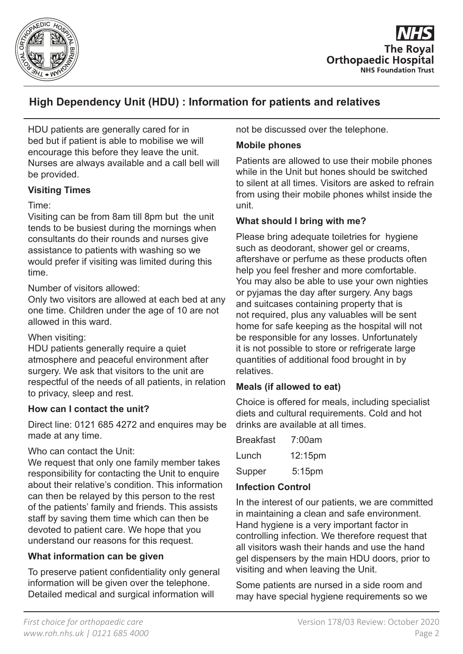



# **High Dependency Unit (HDU) : Information for patients and relatives**

HDU patients are generally cared for in bed but if patient is able to mobilise we will encourage this before they leave the unit. Nurses are always available and a call bell will be provided.

## **Visiting Times**

## Time:

Visiting can be from 8am till 8pm but the unit tends to be busiest during the mornings when consultants do their rounds and nurses give assistance to patients with washing so we would prefer if visiting was limited during this time.

Number of visitors allowed:

Only two visitors are allowed at each bed at any one time. Children under the age of 10 are not allowed in this ward.

## When visiting:

HDU patients generally require a quiet atmosphere and peaceful environment after surgery. We ask that visitors to the unit are respectful of the needs of all patients, in relation to privacy, sleep and rest.

## **How can I contact the unit?**

Direct line: 0121 685 4272 and enquires may be made at any time.

## Who can contact the Unit:

We request that only one family member takes responsibility for contacting the Unit to enquire about their relative's condition. This information can then be relayed by this person to the rest of the patients' family and friends. This assists staff by saving them time which can then be devoted to patient care. We hope that you understand our reasons for this request.

## **What information can be given**

To preserve patient confidentiality only general information will be given over the telephone. Detailed medical and surgical information will

not be discussed over the telephone.

## **Mobile phones**

Patients are allowed to use their mobile phones while in the Unit but hones should be switched to silent at all times. Visitors are asked to refrain from using their mobile phones whilst inside the unit.

## **What should I bring with me?**

Please bring adequate toiletries for hygiene such as deodorant, shower gel or creams, aftershave or perfume as these products often help you feel fresher and more comfortable. You may also be able to use your own nighties or pyjamas the day after surgery. Any bags and suitcases containing property that is not required, plus any valuables will be sent home for safe keeping as the hospital will not be responsible for any losses. Unfortunately it is not possible to store or refrigerate large quantities of additional food brought in by relatives.

## **Meals (if allowed to eat)**

Choice is offered for meals, including specialist diets and cultural requirements. Cold and hot drinks are available at all times.

| <b>Breakfast</b> | 7:00am    |
|------------------|-----------|
| Lunch            | 12:15pm   |
| Supper           | $5:15$ pm |

## **Infection Control**

In the interest of our patients, we are committed in maintaining a clean and safe environment. Hand hygiene is a very important factor in controlling infection. We therefore request that all visitors wash their hands and use the hand gel dispensers by the main HDU doors, prior to visiting and when leaving the Unit.

Some patients are nursed in a side room and may have special hygiene requirements so we